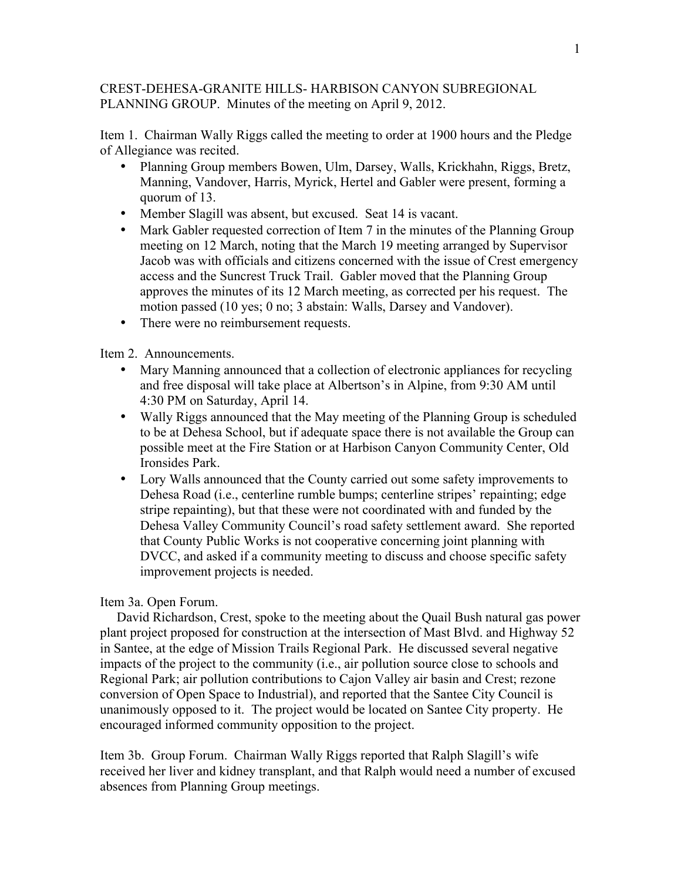## CREST-DEHESA-GRANITE HILLS- HARBISON CANYON SUBREGIONAL PLANNING GROUP. Minutes of the meeting on April 9, 2012.

Item 1. Chairman Wally Riggs called the meeting to order at 1900 hours and the Pledge of Allegiance was recited.

- Planning Group members Bowen, Ulm, Darsey, Walls, Krickhahn, Riggs, Bretz, Manning, Vandover, Harris, Myrick, Hertel and Gabler were present, forming a quorum of 13.
- Member Slagill was absent, but excused. Seat 14 is vacant.
- Mark Gabler requested correction of Item 7 in the minutes of the Planning Group meeting on 12 March, noting that the March 19 meeting arranged by Supervisor Jacob was with officials and citizens concerned with the issue of Crest emergency access and the Suncrest Truck Trail. Gabler moved that the Planning Group approves the minutes of its 12 March meeting, as corrected per his request. The motion passed (10 yes; 0 no; 3 abstain: Walls, Darsey and Vandover).
- There were no reimbursement requests.

Item 2. Announcements.

- Mary Manning announced that a collection of electronic appliances for recycling and free disposal will take place at Albertson's in Alpine, from 9:30 AM until 4:30 PM on Saturday, April 14.
- Wally Riggs announced that the May meeting of the Planning Group is scheduled to be at Dehesa School, but if adequate space there is not available the Group can possible meet at the Fire Station or at Harbison Canyon Community Center, Old Ironsides Park.
- Lory Walls announced that the County carried out some safety improvements to Dehesa Road (i.e., centerline rumble bumps; centerline stripes' repainting; edge stripe repainting), but that these were not coordinated with and funded by the Dehesa Valley Community Council's road safety settlement award. She reported that County Public Works is not cooperative concerning joint planning with DVCC, and asked if a community meeting to discuss and choose specific safety improvement projects is needed.

## Item 3a. Open Forum.

 David Richardson, Crest, spoke to the meeting about the Quail Bush natural gas power plant project proposed for construction at the intersection of Mast Blvd. and Highway 52 in Santee, at the edge of Mission Trails Regional Park. He discussed several negative impacts of the project to the community (i.e., air pollution source close to schools and Regional Park; air pollution contributions to Cajon Valley air basin and Crest; rezone conversion of Open Space to Industrial), and reported that the Santee City Council is unanimously opposed to it. The project would be located on Santee City property. He encouraged informed community opposition to the project.

Item 3b. Group Forum. Chairman Wally Riggs reported that Ralph Slagill's wife received her liver and kidney transplant, and that Ralph would need a number of excused absences from Planning Group meetings.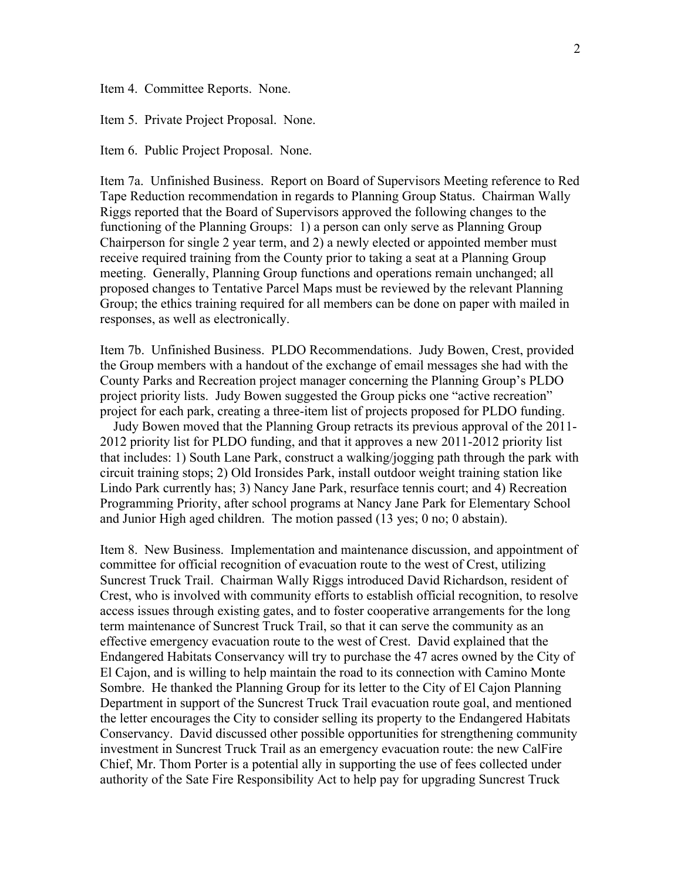Item 4. Committee Reports. None.

Item 5. Private Project Proposal. None.

Item 6. Public Project Proposal. None.

Item 7a. Unfinished Business. Report on Board of Supervisors Meeting reference to Red Tape Reduction recommendation in regards to Planning Group Status. Chairman Wally Riggs reported that the Board of Supervisors approved the following changes to the functioning of the Planning Groups: 1) a person can only serve as Planning Group Chairperson for single 2 year term, and 2) a newly elected or appointed member must receive required training from the County prior to taking a seat at a Planning Group meeting. Generally, Planning Group functions and operations remain unchanged; all proposed changes to Tentative Parcel Maps must be reviewed by the relevant Planning Group; the ethics training required for all members can be done on paper with mailed in responses, as well as electronically.

Item 7b. Unfinished Business. PLDO Recommendations. Judy Bowen, Crest, provided the Group members with a handout of the exchange of email messages she had with the County Parks and Recreation project manager concerning the Planning Group's PLDO project priority lists. Judy Bowen suggested the Group picks one "active recreation" project for each park, creating a three-item list of projects proposed for PLDO funding.

 Judy Bowen moved that the Planning Group retracts its previous approval of the 2011- 2012 priority list for PLDO funding, and that it approves a new 2011-2012 priority list that includes: 1) South Lane Park, construct a walking/jogging path through the park with circuit training stops; 2) Old Ironsides Park, install outdoor weight training station like Lindo Park currently has; 3) Nancy Jane Park, resurface tennis court; and 4) Recreation Programming Priority, after school programs at Nancy Jane Park for Elementary School and Junior High aged children. The motion passed (13 yes; 0 no; 0 abstain).

Item 8. New Business. Implementation and maintenance discussion, and appointment of committee for official recognition of evacuation route to the west of Crest, utilizing Suncrest Truck Trail. Chairman Wally Riggs introduced David Richardson, resident of Crest, who is involved with community efforts to establish official recognition, to resolve access issues through existing gates, and to foster cooperative arrangements for the long term maintenance of Suncrest Truck Trail, so that it can serve the community as an effective emergency evacuation route to the west of Crest. David explained that the Endangered Habitats Conservancy will try to purchase the 47 acres owned by the City of El Cajon, and is willing to help maintain the road to its connection with Camino Monte Sombre. He thanked the Planning Group for its letter to the City of El Cajon Planning Department in support of the Suncrest Truck Trail evacuation route goal, and mentioned the letter encourages the City to consider selling its property to the Endangered Habitats Conservancy. David discussed other possible opportunities for strengthening community investment in Suncrest Truck Trail as an emergency evacuation route: the new CalFire Chief, Mr. Thom Porter is a potential ally in supporting the use of fees collected under authority of the Sate Fire Responsibility Act to help pay for upgrading Suncrest Truck